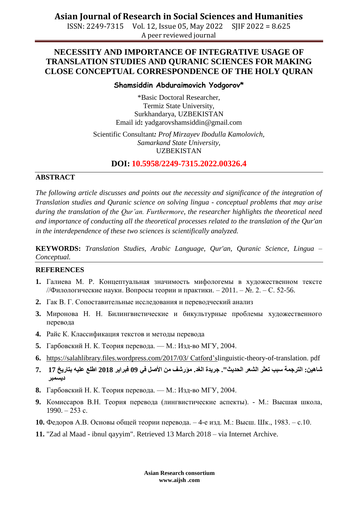**Asian Journal of Research in Social Sciences and Humanities**

ISSN: 2249-7315 Vol. 12, Issue 05, May 2022 SJIF 2022 = 8.625 A peer reviewed journal

## **NECESSITY AND IMPORTANCE OF INTEGRATIVE USAGE OF TRANSLATION STUDIES AND QURANIC SCIENCES FOR MAKING CLOSE CONCEPTUAL CORRESPONDENCE OF THE HOLY QURAN**

#### **Shamsiddin Abduraimovich Yodgorov\***

\*Basic Doctoral Researcher, Termiz State University, Surkhandarya, UZBEKISTAN Email id**:** [yadgarovshamsiddin@gmail.com](mailto:yadgarovshamsiddin@gmail.com)

Scientific Consultant*: Prof Mirzayev Ibodulla Kamolovich, Samarkand State University,* UZBEKISTAN

**DOI: 10.5958/2249-7315.2022.00326.4**

#### **ABSTRACT**

*The following article discusses and points out the necessity and significance of the integration of Translation studies and Quranic science on solving lingua - conceptual problems that may arise during the translation of the Qur'an. Furthermore, the researcher highlights the theoretical need and importance of conducting all the theoretical processes related to the translation of the Qur'an in the interdependence of these two sciences is scientifically analyzed.* 

**KEYWORDS:** *Translation Studies, Arabic Language, Qur'an, Quranic Science, Lingua – Conceptual.*

### **REFERENCES**

- **1.** Галиева М. Р. Концептуальная значимость мифологемы в художественном тексте //Филологические науки. Вопросы теории и практики. – 2011. – №. 2. – С. 52-56.
- **2.** Гак В. Г. Сопоставительные исследования и переводческий анализ
- **3.** Миронова Н. Н. Билингвистические и бикультурные проблемы художественного перевода
- **4.** Райс К. Классификация текстов и методы перевода
- **5.** Гарбовский Н. К. Теория перевода. М.: Изд-во МГУ, 2004.
- **6.** [https://salahlibrary.files.wordpress.com/2017/03/](https://salahlibrary.files.wordpress.com/2017/03/%20Catford) Catford'slinguistic-theory-of-translation. pdf
- **شاهين: الترجمت سبب تعثر الشعر الحديث". جريدة الغد. مؤرشف من األصل في 09 فبراير 2018 اطلع عليه بتاريخ 17 7. ديسمبر**
- **8.** Гарбовский Н. К. Теория перевода. М.: Изд-во МГУ, 2004.
- **9.** Комиссаров В.Н. Теория перевода (лингвистические аспекты). М.: Высшая школа, 1990. – 253 с.
- **10.** Федоров А.В. Основы общей теории перевода. 4-е изд. М.: Высш. Шк., 1983. с.10.
- **11.** "Zad al Maad ibnul qayyim". Retrieved 13 March 2018 via Internet Archive.